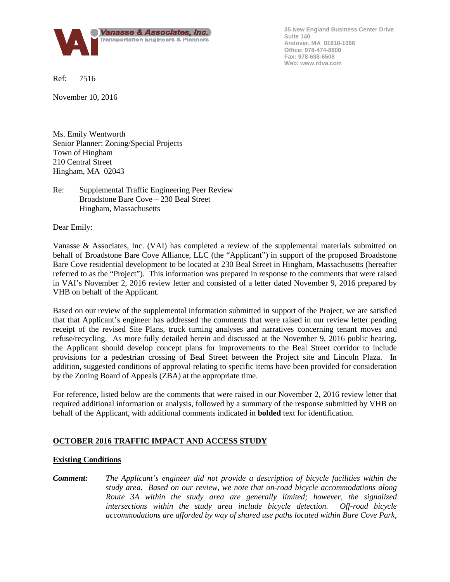

**35 New England Business Center Drive Suite 140 Andover, MA 01810-1066 Office: 978-474-8800 Fax: 978-688-6508 Web: www.rdva.com**

Ref: 7516

November 10, 2016

Ms. Emily Wentworth Senior Planner: Zoning/Special Projects Town of Hingham 210 Central Street Hingham, MA 02043

## Re: Supplemental Traffic Engineering Peer Review Broadstone Bare Cove – 230 Beal Street Hingham, Massachusetts

Dear Emily:

Vanasse & Associates, Inc. (VAI) has completed a review of the supplemental materials submitted on behalf of Broadstone Bare Cove Alliance, LLC (the "Applicant") in support of the proposed Broadstone Bare Cove residential development to be located at 230 Beal Street in Hingham, Massachusetts (hereafter referred to as the "Project"). This information was prepared in response to the comments that were raised in VAI's November 2, 2016 review letter and consisted of a letter dated November 9, 2016 prepared by VHB on behalf of the Applicant.

Based on our review of the supplemental information submitted in support of the Project, we are satisfied that that Applicant's engineer has addressed the comments that were raised in our review letter pending receipt of the revised Site Plans, truck turning analyses and narratives concerning tenant moves and refuse/recycling. As more fully detailed herein and discussed at the November 9, 2016 public hearing, the Applicant should develop concept plans for improvements to the Beal Street corridor to include provisions for a pedestrian crossing of Beal Street between the Project site and Lincoln Plaza. In addition, suggested conditions of approval relating to specific items have been provided for consideration by the Zoning Board of Appeals (ZBA) at the appropriate time.

For reference, listed below are the comments that were raised in our November 2, 2016 review letter that required additional information or analysis, followed by a summary of the response submitted by VHB on behalf of the Applicant, with additional comments indicated in **bolded** text for identification.

# **OCTOBER 2016 TRAFFIC IMPACT AND ACCESS STUDY**

#### **Existing Conditions**

*Comment: The Applicant's engineer did not provide a description of bicycle facilities within the study area. Based on our review, we note that on-road bicycle accommodations along Route 3A within the study area are generally limited; however, the signalized intersections within the study area include bicycle detection. Off-road bicycle accommodations are afforded by way of shared use paths located within Bare Cove Park,*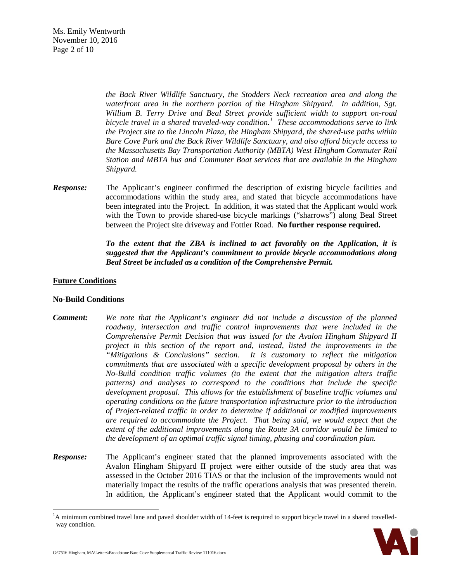Ms. Emily Wentworth November 10, 2016 Page 2 of 10

> *the Back River Wildlife Sanctuary, the Stodders Neck recreation area and along the waterfront area in the northern portion of the Hingham Shipyard. In addition, Sgt. William B. Terry Drive and Beal Street provide sufficient width to support on-road bicycle travel in a shared traveled-way condition.[1](#page-1-0) These accommodations serve to link the Project site to the Lincoln Plaza, the Hingham Shipyard, the shared-use paths within Bare Cove Park and the Back River Wildlife Sanctuary, and also afford bicycle access to the Massachusetts Bay Transportation Authority (MBTA) West Hingham Commuter Rail Station and MBTA bus and Commuter Boat services that are available in the Hingham Shipyard.*

*Response:* The Applicant's engineer confirmed the description of existing bicycle facilities and accommodations within the study area, and stated that bicycle accommodations have been integrated into the Project. In addition, it was stated that the Applicant would work with the Town to provide shared-use bicycle markings ("sharrows") along Beal Street between the Project site driveway and Fottler Road. **No further response required.**

> *To the extent that the ZBA is inclined to act favorably on the Application, it is suggested that the Applicant's commitment to provide bicycle accommodations along Beal Street be included as a condition of the Comprehensive Permit.*

### **Future Conditions**

### **No-Build Conditions**

- *Comment: We note that the Applicant's engineer did not include a discussion of the planned roadway, intersection and traffic control improvements that were included in the Comprehensive Permit Decision that was issued for the Avalon Hingham Shipyard II project in this section of the report and, instead, listed the improvements in the "Mitigations & Conclusions" section. It is customary to reflect the mitigation commitments that are associated with a specific development proposal by others in the No-Build condition traffic volumes (to the extent that the mitigation alters traffic patterns) and analyses to correspond to the conditions that include the specific development proposal. This allows for the establishment of baseline traffic volumes and operating conditions on the future transportation infrastructure prior to the introduction of Project-related traffic in order to determine if additional or modified improvements are required to accommodate the Project. That being said, we would expect that the extent of the additional improvements along the Route 3A corridor would be limited to the development of an optimal traffic signal timing, phasing and coordination plan.*
- *Response:* The Applicant's engineer stated that the planned improvements associated with the Avalon Hingham Shipyard II project were either outside of the study area that was assessed in the October 2016 TIAS or that the inclusion of the improvements would not materially impact the results of the traffic operations analysis that was presented therein. In addition, the Applicant's engineer stated that the Applicant would commit to the

<span id="page-1-0"></span><sup>|&</sup>lt;br>|<br>| <sup>1</sup>A minimum combined travel lane and paved shoulder width of 14-feet is required to support bicycle travel in a shared travelledway condition.

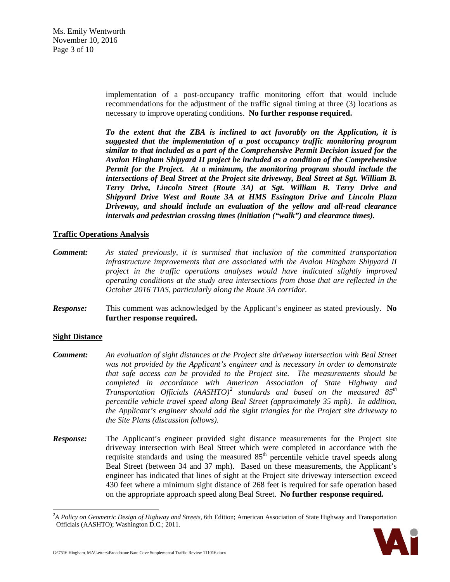Ms. Emily Wentworth November 10, 2016 Page 3 of 10

> implementation of a post-occupancy traffic monitoring effort that would include recommendations for the adjustment of the traffic signal timing at three (3) locations as necessary to improve operating conditions.**No further response required.**

> *To the extent that the ZBA is inclined to act favorably on the Application, it is suggested that the implementation of a post occupancy traffic monitoring program similar to that included as a part of the Comprehensive Permit Decision issued for the Avalon Hingham Shipyard II project be included as a condition of the Comprehensive Permit for the Project. At a minimum, the monitoring program should include the intersections of Beal Street at the Project site driveway, Beal Street at Sgt. William B. Terry Drive, Lincoln Street (Route 3A) at Sgt. William B. Terry Drive and Shipyard Drive West and Route 3A at HMS Essington Drive and Lincoln Plaza Driveway, and should include an evaluation of the yellow and all-read clearance intervals and pedestrian crossing times (initiation ("walk") and clearance times).*

### **Traffic Operations Analysis**

- *Comment: As stated previously, it is surmised that inclusion of the committed transportation infrastructure improvements that are associated with the Avalon Hingham Shipyard II project in the traffic operations analyses would have indicated slightly improved operating conditions at the study area intersections from those that are reflected in the October 2016 TIAS, particularly along the Route 3A corridor.*
- *Response:* This comment was acknowledged by the Applicant's engineer as stated previously. **No further response required.**

#### **Sight Distance**

- *Comment: An evaluation of sight distances at the Project site driveway intersection with Beal Street was not provided by the Applicant's engineer and is necessary in order to demonstrate that safe access can be provided to the Project site. The measurements should be completed in accordance with American Association of State Highway and Transportation Officials (AASHTO)[2](#page-2-0) standards and based on the measured 85th percentile vehicle travel speed along Beal Street (approximately 35 mph). In addition, the Applicant's engineer should add the sight triangles for the Project site driveway to the Site Plans (discussion follows).*
- *Response:* The Applicant's engineer provided sight distance measurements for the Project site driveway intersection with Beal Street which were completed in accordance with the requisite standards and using the measured 85<sup>th</sup> percentile vehicle travel speeds along Beal Street (between 34 and 37 mph). Based on these measurements, the Applicant's engineer has indicated that lines of sight at the Project site driveway intersection exceed 430 feet where a minimum sight distance of 268 feet is required for safe operation based on the appropriate approach speed along Beal Street. **No further response required.**

<span id="page-2-0"></span> $\frac{1}{2}$ *A Policy on Geometric Design of Highway and Streets,* 6th Edition; American Association of State Highway and Transportation Officials (AASHTO); Washington D.C.; 2011.

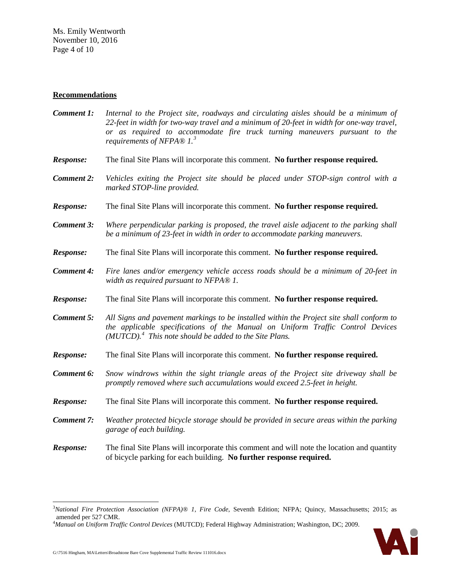### **Recommendations**

- *Comment 1: Internal to the Project site, roadways and circulating aisles should be a minimum of 22-feet in width for two-way travel and a minimum of 20-feet in width for one-way travel, or as required to accommodate fire truck turning maneuvers pursuant to the requirements of NFPA® 1.[3](#page-3-0)*
- *Response:* The final Site Plans will incorporate this comment. **No further response required.**
- *Comment 2: Vehicles exiting the Project site should be placed under STOP-sign control with a marked STOP-line provided.*
- *Response:* The final Site Plans will incorporate this comment. **No further response required.**
- *Comment 3: Where perpendicular parking is proposed, the travel aisle adjacent to the parking shall be a minimum of 23-feet in width in order to accommodate parking maneuvers.*
- *Response:* The final Site Plans will incorporate this comment. **No further response required.**
- *Comment 4: Fire lanes and/or emergency vehicle access roads should be a minimum of 20-feet in width as required pursuant to NFPA® 1.*
- *Response:* The final Site Plans will incorporate this comment. **No further response required.**
- *Comment 5: All Signs and pavement markings to be installed within the Project site shall conform to the applicable specifications of the Manual on Uniform Traffic Control Devices (MUTCD).[4](#page-3-1) This note should be added to the Site Plans.*
- *Response:* The final Site Plans will incorporate this comment. **No further response required.**
- *Comment 6: Snow windrows within the sight triangle areas of the Project site driveway shall be promptly removed where such accumulations would exceed 2.5-feet in height.*
- *Response:* The final Site Plans will incorporate this comment. **No further response required.**
- *Comment 7: Weather protected bicycle storage should be provided in secure areas within the parking garage of each building.*
- *Response:* The final Site Plans will incorporate this comment and will note the location and quantity of bicycle parking for each building. **No further response required.**

<span id="page-3-0"></span> <sup>3</sup> *National Fire Protection Association (NFPA)® 1, Fire Code*, Seventh Edition; NFPA; Quincy, Massachusetts; 2015; as amended per 527 CMR.

<span id="page-3-1"></span><sup>4</sup> *Manual on Uniform Traffic Control Devices* (MUTCD); Federal Highway Administration; Washington, DC; 2009.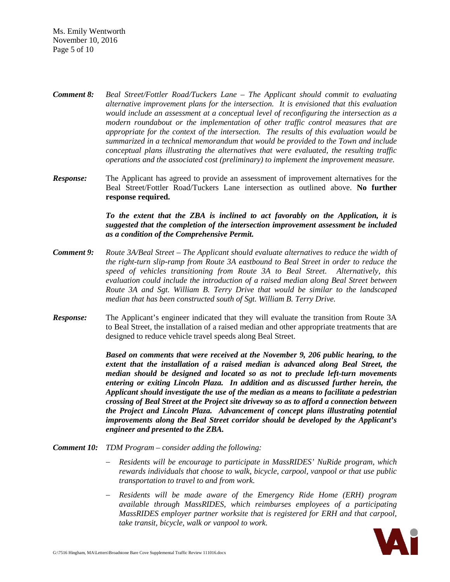Ms. Emily Wentworth November 10, 2016 Page 5 of 10

- *Comment 8: Beal Street/Fottler Road/Tuckers Lane – The Applicant should commit to evaluating alternative improvement plans for the intersection. It is envisioned that this evaluation would include an assessment at a conceptual level of reconfiguring the intersection as a modern roundabout or the implementation of other traffic control measures that are appropriate for the context of the intersection. The results of this evaluation would be summarized in a technical memorandum that would be provided to the Town and include conceptual plans illustrating the alternatives that were evaluated, the resulting traffic operations and the associated cost (preliminary) to implement the improvement measure.*
- *Response:* The Applicant has agreed to provide an assessment of improvement alternatives for the Beal Street/Fottler Road/Tuckers Lane intersection as outlined above. **No further response required.**

*To the extent that the ZBA is inclined to act favorably on the Application, it is suggested that the completion of the intersection improvement assessment be included as a condition of the Comprehensive Permit.*

- *Comment 9: Route 3A/Beal Street – The Applicant should evaluate alternatives to reduce the width of the right-turn slip-ramp from Route 3A eastbound to Beal Street in order to reduce the speed of vehicles transitioning from Route 3A to Beal Street. Alternatively, this evaluation could include the introduction of a raised median along Beal Street between Route 3A and Sgt. William B. Terry Drive that would be similar to the landscaped median that has been constructed south of Sgt. William B. Terry Drive.*
- *Response:* The Applicant's engineer indicated that they will evaluate the transition from Route 3A to Beal Street, the installation of a raised median and other appropriate treatments that are designed to reduce vehicle travel speeds along Beal Street.

*Based on comments that were received at the November 9, 206 public hearing, to the extent that the installation of a raised median is advanced along Beal Street, the median should be designed and located so as not to preclude left-turn movements entering or exiting Lincoln Plaza. In addition and as discussed further herein, the Applicant should investigate the use of the median as a means to facilitate a pedestrian crossing of Beal Street at the Project site driveway so as to afford a connection between the Project and Lincoln Plaza. Advancement of concept plans illustrating potential improvements along the Beal Street corridor should be developed by the Applicant's engineer and presented to the ZBA.*

- *Comment 10: TDM Program – consider adding the following:*
	- − *Residents will be encourage to participate in MassRIDES' NuRide program, which rewards individuals that choose to walk, bicycle, carpool, vanpool or that use public transportation to travel to and from work.*
	- − *Residents will be made aware of the Emergency Ride Home (ERH) program available through MassRIDES, which reimburses employees of a participating MassRIDES employer partner worksite that is registered for ERH and that carpool, take transit, bicycle, walk or vanpool to work.*

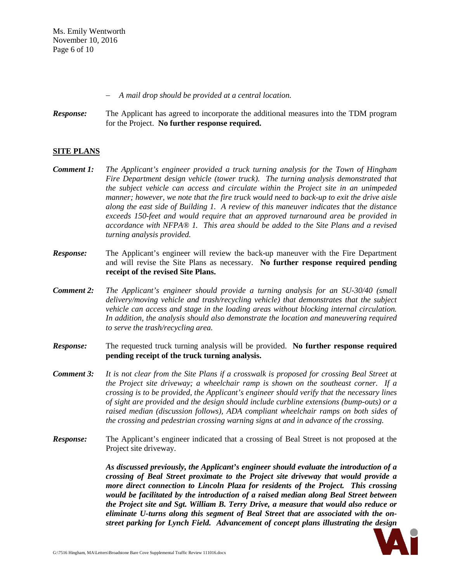Ms. Emily Wentworth November 10, 2016 Page 6 of 10

− *A mail drop should be provided at a central location.*

*Response:* The Applicant has agreed to incorporate the additional measures into the TDM program for the Project. **No further response required.**

# **SITE PLANS**

- *Comment 1: The Applicant's engineer provided a truck turning analysis for the Town of Hingham Fire Department design vehicle (tower truck). The turning analysis demonstrated that the subject vehicle can access and circulate within the Project site in an unimpeded manner; however, we note that the fire truck would need to back-up to exit the drive aisle along the east side of Building 1. A review of this maneuver indicates that the distance exceeds 150-feet and would require that an approved turnaround area be provided in accordance with NFPA® 1. This area should be added to the Site Plans and a revised turning analysis provided.*
- *Response:* The Applicant's engineer will review the back-up maneuver with the Fire Department and will revise the Site Plans as necessary. **No further response required pending receipt of the revised Site Plans.**
- *Comment 2: The Applicant's engineer should provide a turning analysis for an SU-30/40 (small delivery/moving vehicle and trash/recycling vehicle) that demonstrates that the subject vehicle can access and stage in the loading areas without blocking internal circulation. In addition, the analysis should also demonstrate the location and maneuvering required to serve the trash/recycling area.*
- *Response:* The requested truck turning analysis will be provided. **No further response required pending receipt of the truck turning analysis.**
- *Comment 3: It is not clear from the Site Plans if a crosswalk is proposed for crossing Beal Street at the Project site driveway; a wheelchair ramp is shown on the southeast corner. If a crossing is to be provided, the Applicant's engineer should verify that the necessary lines of sight are provided and the design should include curbline extensions (bump-outs) or a raised median (discussion follows), ADA compliant wheelchair ramps on both sides of the crossing and pedestrian crossing warning signs at and in advance of the crossing.*
- *Response:* The Applicant's engineer indicated that a crossing of Beal Street is not proposed at the Project site driveway.

*As discussed previously, the Applicant's engineer should evaluate the introduction of a crossing of Beal Street proximate to the Project site driveway that would provide a more direct connection to Lincoln Plaza for residents of the Project. This crossing would be facilitated by the introduction of a raised median along Beal Street between the Project site and Sgt. William B. Terry Drive, a measure that would also reduce or eliminate U-turns along this segment of Beal Street that are associated with the onstreet parking for Lynch Field. Advancement of concept plans illustrating the design* 

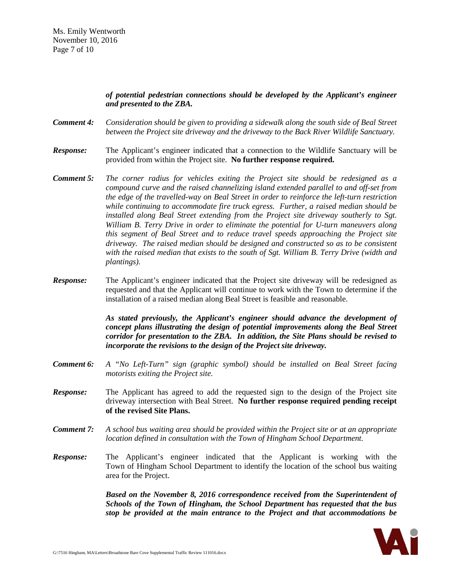## *of potential pedestrian connections should be developed by the Applicant's engineer and presented to the ZBA.*

- *Comment 4: Consideration should be given to providing a sidewalk along the south side of Beal Street between the Project site driveway and the driveway to the Back River Wildlife Sanctuary.*
- *Response:* The Applicant's engineer indicated that a connection to the Wildlife Sanctuary will be provided from within the Project site. **No further response required.**
- *Comment 5: The corner radius for vehicles exiting the Project site should be redesigned as a compound curve and the raised channelizing island extended parallel to and off-set from the edge of the travelled-way on Beal Street in order to reinforce the left-turn restriction while continuing to accommodate fire truck egress. Further, a raised median should be installed along Beal Street extending from the Project site driveway southerly to Sgt. William B. Terry Drive in order to eliminate the potential for U-turn maneuvers along this segment of Beal Street and to reduce travel speeds approaching the Project site driveway. The raised median should be designed and constructed so as to be consistent with the raised median that exists to the south of Sgt. William B. Terry Drive (width and plantings).*
- *Response:* The Applicant's engineer indicated that the Project site driveway will be redesigned as requested and that the Applicant will continue to work with the Town to determine if the installation of a raised median along Beal Street is feasible and reasonable.

*As stated previously, the Applicant's engineer should advance the development of concept plans illustrating the design of potential improvements along the Beal Street corridor for presentation to the ZBA. In addition, the Site Plans should be revised to incorporate the revisions to the design of the Project site driveway.*

- *Comment 6: A "No Left-Turn" sign (graphic symbol) should be installed on Beal Street facing motorists exiting the Project site.*
- *Response:* The Applicant has agreed to add the requested sign to the design of the Project site driveway intersection with Beal Street. **No further response required pending receipt of the revised Site Plans.**
- *Comment 7: A school bus waiting area should be provided within the Project site or at an appropriate location defined in consultation with the Town of Hingham School Department.*
- *Response:* The Applicant's engineer indicated that the Applicant is working with the Town of Hingham School Department to identify the location of the school bus waiting area for the Project.

*Based on the November 8, 2016 correspondence received from the Superintendent of Schools of the Town of Hingham, the School Department has requested that the bus stop be provided at the main entrance to the Project and that accommodations be* 

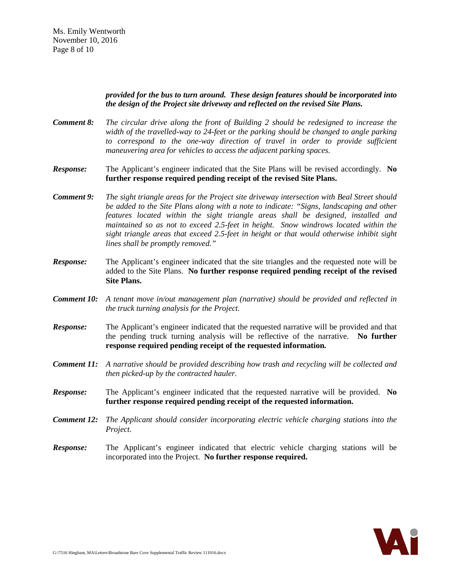### *provided for the bus to turn around. These design features should be incorporated into the design of the Project site driveway and reflected on the revised Site Plans.*

- *Comment 8: The circular drive along the front of Building 2 should be redesigned to increase the width of the travelled-way to 24-feet or the parking should be changed to angle parking to correspond to the one-way direction of travel in order to provide sufficient maneuvering area for vehicles to access the adjacent parking spaces.*
- *Response:* The Applicant's engineer indicated that the Site Plans will be revised accordingly. **No further response required pending receipt of the revised Site Plans.**
- *Comment 9: The sight triangle areas for the Project site driveway intersection with Beal Street should be added to the Site Plans along with a note to indicate: "Signs, landscaping and other features located within the sight triangle areas shall be designed, installed and maintained so as not to exceed 2.5-feet in height. Snow windrows located within the sight triangle areas that exceed 2.5-feet in height or that would otherwise inhibit sight lines shall be promptly removed."*
- *Response:* The Applicant's engineer indicated that the site triangles and the requested note will be added to the Site Plans. **No further response required pending receipt of the revised Site Plans.**
- *Comment 10: A tenant move in/out management plan (narrative) should be provided and reflected in the truck turning analysis for the Project.*
- *Response:* The Applicant's engineer indicated that the requested narrative will be provided and that the pending truck turning analysis will be reflective of the narrative. **No further response required pending receipt of the requested information.**
- *Comment 11: A narrative should be provided describing how trash and recycling will be collected and then picked-up by the contracted hauler.*
- *Response:* The Applicant's engineer indicated that the requested narrative will be provided. **No further response required pending receipt of the requested information.**
- *Comment 12: The Applicant should consider incorporating electric vehicle charging stations into the Project.*
- *Response:* The Applicant's engineer indicated that electric vehicle charging stations will be incorporated into the Project. **No further response required.**

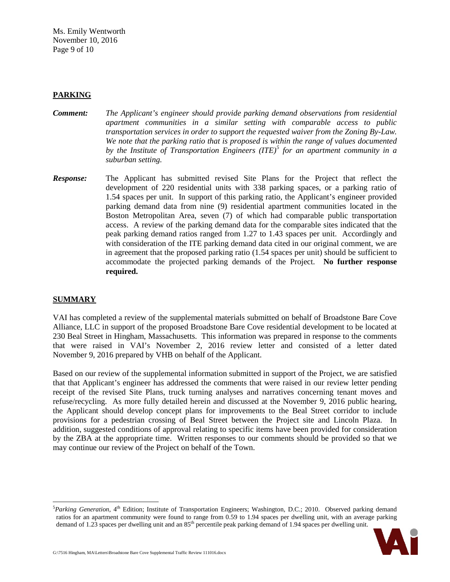Ms. Emily Wentworth November 10, 2016 Page 9 of 10

## **PARKING**

- *Comment: The Applicant's engineer should provide parking demand observations from residential apartment communities in a similar setting with comparable access to public transportation services in order to support the requested waiver from the Zoning By-Law. We note that the parking ratio that is proposed is within the range of values documented by the Institute of Transportation Engineers (ITE)[5](#page-8-0) for an apartment community in a suburban setting.*
- *Response:* The Applicant has submitted revised Site Plans for the Project that reflect the development of 220 residential units with 338 parking spaces, or a parking ratio of 1.54 spaces per unit. In support of this parking ratio, the Applicant's engineer provided parking demand data from nine (9) residential apartment communities located in the Boston Metropolitan Area, seven (7) of which had comparable public transportation access. A review of the parking demand data for the comparable sites indicated that the peak parking demand ratios ranged from 1.27 to 1.43 spaces per unit. Accordingly and with consideration of the ITE parking demand data cited in our original comment, we are in agreement that the proposed parking ratio (1.54 spaces per unit) should be sufficient to accommodate the projected parking demands of the Project. **No further response required.**

### **SUMMARY**

VAI has completed a review of the supplemental materials submitted on behalf of Broadstone Bare Cove Alliance, LLC in support of the proposed Broadstone Bare Cove residential development to be located at 230 Beal Street in Hingham, Massachusetts. This information was prepared in response to the comments that were raised in VAI's November 2, 2016 review letter and consisted of a letter dated November 9, 2016 prepared by VHB on behalf of the Applicant.

Based on our review of the supplemental information submitted in support of the Project, we are satisfied that that Applicant's engineer has addressed the comments that were raised in our review letter pending receipt of the revised Site Plans, truck turning analyses and narratives concerning tenant moves and refuse/recycling. As more fully detailed herein and discussed at the November 9, 2016 public hearing, the Applicant should develop concept plans for improvements to the Beal Street corridor to include provisions for a pedestrian crossing of Beal Street between the Project site and Lincoln Plaza. In addition, suggested conditions of approval relating to specific items have been provided for consideration by the ZBA at the appropriate time. Written responses to our comments should be provided so that we may continue our review of the Project on behalf of the Town.

<span id="page-8-0"></span> <sup>5</sup> <sup>5</sup>Parking Generation, 4<sup>th</sup> Edition; Institute of Transportation Engineers; Washington, D.C.; 2010. Observed parking demand ratios for an apartment community were found to range from 0.59 to 1.94 spaces per dwelling unit, with an average parking demand of 1.23 spaces per dwelling unit and an 85<sup>th</sup> percentile peak parking demand of 1.94 spaces per dwelling unit.